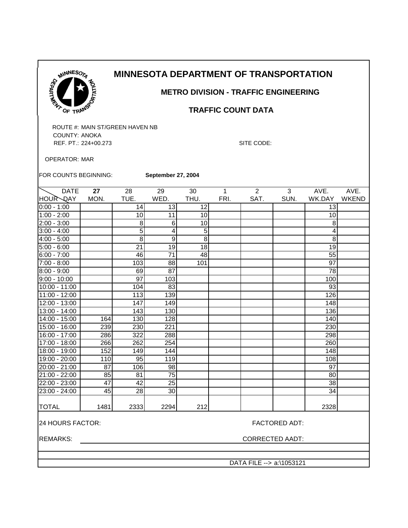

 **METRO DIVISION - TRAFFIC ENGINEERING**

### **TRAFFIC COUNT DATA**

ROUTE #: MAIN ST/GREEN HAVEN NB COUNTY: ANOKA REF. PT.: 224+00.273 SITE CODE:

OPERATOR: MAR

FOR COUNTS BEGINNING: **September 27, 2004**

| <b>DATE</b>     | 27   | 28              | 29   | 30          | 1    | 2    | 3    | AVE.             | AVE.         |
|-----------------|------|-----------------|------|-------------|------|------|------|------------------|--------------|
| HOUR DAY        | MON. | TUE.            | WED. | THU.        | FRI. | SAT. | SUN. | WK.DAY           | <b>WKEND</b> |
| $0:00 - 1:00$   |      | 14              | 13   | 12          |      |      |      | 13               |              |
| $1:00 - 2:00$   |      | 10              | 11   | 10          |      |      |      | 10               |              |
| 2:00 - 3:00     |      | 8               | 6    | 10          |      |      |      | 8                |              |
| $3:00 - 4:00$   |      | $\overline{5}$  | 4    | $\mathbf 5$ |      |      |      | 4                |              |
| $4:00 - 5:00$   |      | 8               | 9    | 8           |      |      |      | 8                |              |
| $5:00 - 6:00$   |      | 21              | 19   | 18          |      |      |      | 19               |              |
| $6:00 - 7:00$   |      | 46              | 71   | 48          |      |      |      | 55               |              |
| 7:00 - 8:00     |      | 103             | 88   | 101         |      |      |      | 97               |              |
| $8:00 - 9:00$   |      | 69              | 87   |             |      |      |      | 78               |              |
| $9:00 - 10:00$  |      | $\overline{97}$ | 103  |             |      |      |      | 100              |              |
| 10:00 - 11:00   |      | 104             | 83   |             |      |      |      | 93               |              |
| 11:00 - 12:00   |      | 113             | 139  |             |      |      |      | 126              |              |
| 12:00 - 13:00   |      | 147             | 149  |             |      |      |      | 148              |              |
| $13:00 - 14:00$ |      | 143             | 130  |             |      |      |      | $\overline{1}36$ |              |
| 14:00 - 15:00   | 164  | 130             | 128  |             |      |      |      | 140              |              |
| 15:00 - 16:00   | 239  | 230             | 221  |             |      |      |      | 230              |              |
| 16:00 - 17:00   | 286  | 322             | 288  |             |      |      |      | 298              |              |
| 17:00 - 18:00   | 266  | 262             | 254  |             |      |      |      | 260              |              |
| 18:00 - 19:00   | 152  | 149             | 144  |             |      |      |      | 148              |              |
| 19:00 - 20:00   | 110  | 95              | 119  |             |      |      |      | 108              |              |
| 20:00 - 21:00   | 87   | 106             | 98   |             |      |      |      | 97               |              |
| 21:00 - 22:00   | 85   | 81              | 75   |             |      |      |      | 80               |              |
| 22:00 - 23:00   | 47   | 42              | 25   |             |      |      |      | 38               |              |
| 23:00 - 24:00   | 45   | 28              | 30   |             |      |      |      | 34               |              |
|                 |      |                 |      |             |      |      |      |                  |              |
| <b>TOTAL</b>    | 1481 | 2333            | 2294 | 212         |      |      |      | 2328             |              |
|                 |      |                 |      |             |      |      |      |                  |              |

24 HOURS FACTOR: FACTORED ADT:

REMARKS: CORRECTED AADT: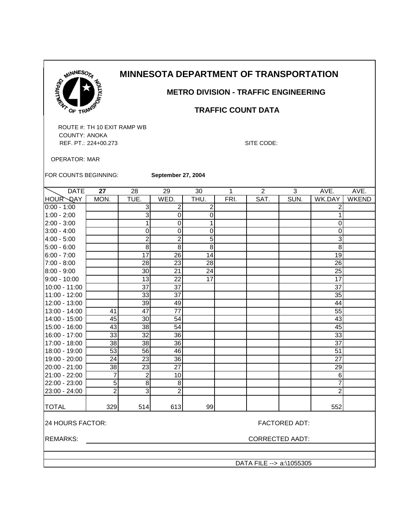

 **METRO DIVISION - TRAFFIC ENGINEERING**

#### **TRAFFIC COUNT DATA**

ROUTE #: TH 10 EXIT RAMP WB COUNTY: ANOKA REF. PT.: 224+00.273 SITE CODE:

OPERATOR: MAR

FOR COUNTS BEGINNING:

**September 27, 2004**

| <b>DATE</b>                              | 27                     | 28              | 29               | 30              | 1    | $\overline{2}$           | 3    | AVE.            | AVE.         |
|------------------------------------------|------------------------|-----------------|------------------|-----------------|------|--------------------------|------|-----------------|--------------|
| <b>HOUR QAY</b>                          | MON.                   | TUE.            | WED.             | THU.            | FRI. | SAT.                     | SUN. | WK.DAY          | <b>WKEND</b> |
| $0:00 - 1:00$                            |                        | 3               | $\boldsymbol{2}$ | $\overline{c}$  |      |                          |      | 2               |              |
| $1:00 - 2:00$                            |                        | 3               | $\pmb{0}$        | 0               |      |                          |      | 1               |              |
| 2:00 - 3:00                              |                        | 1               | $\pmb{0}$        | 1               |      |                          |      | $\mathbf 0$     |              |
| $3:00 - 4:00$                            |                        | $\mathbf 0$     | $\pmb{0}$        | 0               |      |                          |      | 0               |              |
| 4:00 - 5:00                              |                        | $\overline{2}$  | $\overline{2}$   | $\overline{5}$  |      |                          |      | $\overline{3}$  |              |
| $5:00 - 6:00$                            |                        | 8               | $\,8\,$          | 8               |      |                          |      | 8               |              |
| $6:00 - 7:00$                            |                        | 17              | $\overline{26}$  | 14              |      |                          |      | 19              |              |
| 7:00 - 8:00                              |                        | 28              | $\overline{23}$  | $\overline{28}$ |      |                          |      | 26              |              |
| 8:00 - 9:00                              |                        | 30              | 21               | 24              |      |                          |      | 25              |              |
| $9:00 - 10:00$                           |                        | $\overline{13}$ | $\overline{22}$  | $\overline{17}$ |      |                          |      | $\overline{17}$ |              |
| 10:00 - 11:00                            |                        | $\overline{37}$ | $\overline{37}$  |                 |      |                          |      | 37              |              |
| 11:00 - 12:00                            |                        | $\overline{33}$ | $\overline{37}$  |                 |      |                          |      | 35              |              |
| 12:00 - 13:00                            |                        | $\overline{39}$ | 49               |                 |      |                          |      | 44              |              |
| 13:00 - 14:00                            | 41                     | 47              | $\overline{77}$  |                 |      |                          |      | 55              |              |
| 14:00 - 15:00                            | 45                     | 30              | 54               |                 |      |                          |      | 43              |              |
| 15:00 - 16:00                            | $\overline{43}$        | $\overline{38}$ | $\overline{54}$  |                 |      |                          |      | 45              |              |
| 16:00 - 17:00                            | 33                     | 32              | 36               |                 |      |                          |      | 33              |              |
| 17:00 - 18:00                            | 38                     | 38              | $\overline{36}$  |                 |      |                          |      | $\overline{37}$ |              |
| 18:00 - 19:00                            | 53                     | 56              | 46               |                 |      |                          |      | 51              |              |
| 19:00 - 20:00                            | 24                     | $\overline{23}$ | $\overline{36}$  |                 |      |                          |      | 27              |              |
| 20:00 - 21:00                            | $\overline{38}$        | 23              | $\overline{27}$  |                 |      |                          |      | 29              |              |
| 21:00 - 22:00                            | $\overline{7}$         | $\overline{2}$  | 10               |                 |      |                          |      | 6               |              |
| 22:00 - 23:00                            | $\overline{5}$         | 8               | 8                |                 |      |                          |      | $\overline{7}$  |              |
| 23:00 - 24:00                            | $\overline{2}$         | $\overline{3}$  | $\overline{2}$   |                 |      |                          |      | $\overline{2}$  |              |
| <b>TOTAL</b>                             | 329                    | 514             | 613              | 99              |      |                          |      | 552             |              |
| 24 HOURS FACTOR:<br><b>FACTORED ADT:</b> |                        |                 |                  |                 |      |                          |      |                 |              |
| <b>REMARKS:</b>                          | <b>CORRECTED AADT:</b> |                 |                  |                 |      |                          |      |                 |              |
|                                          |                        |                 |                  |                 |      |                          |      |                 |              |
|                                          |                        |                 |                  |                 |      | DATA FILE --> a:\1055305 |      |                 |              |
|                                          |                        |                 |                  |                 |      |                          |      |                 |              |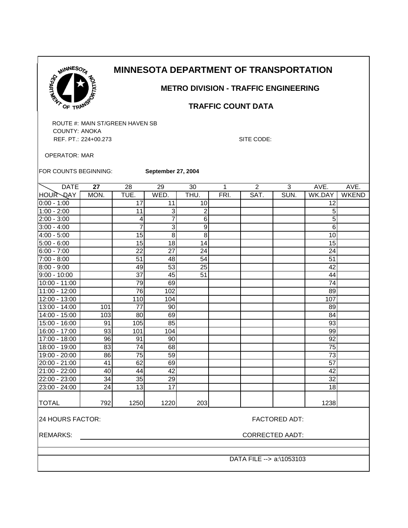| N             | ESO <sub>TA</sub> |
|---------------|-------------------|
|               |                   |
| <b>CARTNY</b> | <b>PTATION</b>    |
|               | ø<br>ANS          |

 **METRO DIVISION - TRAFFIC ENGINEERING**

 **TRAFFIC COUNT DATA**

ROUTE #: MAIN ST/GREEN HAVEN SB COUNTY: ANOKA REF. PT.: 224+00.273 SITE CODE:

OPERATOR: MAR

FOR COUNTS BEGINNING: **September 27, 2004**

| <b>DATE</b>    | 27   | 28              | 29              | 30             | 1    | $\overline{2}$ | 3    | AVE.            | AVE.         |
|----------------|------|-----------------|-----------------|----------------|------|----------------|------|-----------------|--------------|
| HOUR DAY       | MON. | TUE.            | WED.            | THU.           | FRI. | SAT.           | SUN. | WK.DAY          | <b>WKEND</b> |
| $0:00 - 1:00$  |      | 17              | 11              | 10             |      |                |      | 12              |              |
| $1:00 - 2:00$  |      | 11              | 3               | $\overline{2}$ |      |                |      | 5               |              |
| $2:00 - 3:00$  |      | 4               | 7               | 6              |      |                |      | 5               |              |
| $3:00 - 4:00$  |      | $\overline{7}$  | 3               | 9              |      |                |      | 6               |              |
| $4:00 - 5:00$  |      | 15              | 8               | 8              |      |                |      | 10              |              |
| $5:00 - 6:00$  |      | $\overline{15}$ | 18              | 14             |      |                |      | 15              |              |
| $6:00 - 7:00$  |      | $\overline{22}$ | $\overline{27}$ | 24             |      |                |      | 24              |              |
| $7:00 - 8:00$  |      | 51              | 48              | 54             |      |                |      | 51              |              |
| $8:00 - 9:00$  |      | 49              | 53              | 25             |      |                |      | 42              |              |
| $9:00 - 10:00$ |      | 37              | 45              | 51             |      |                |      | 44              |              |
| 10:00 - 11:00  |      | 79              | 69              |                |      |                |      | 74              |              |
| 11:00 - 12:00  |      | 76              | 102             |                |      |                |      | 89              |              |
| 12:00 - 13:00  |      | 110             | 104             |                |      |                |      | 107             |              |
| 13:00 - 14:00  | 101  | 77              | 90              |                |      |                |      | 89              |              |
| 14:00 - 15:00  | 103  | 80              | 69              |                |      |                |      | 84              |              |
| 15:00 - 16:00  | 91   | 105             | 85              |                |      |                |      | 93              |              |
| 16:00 - 17:00  | 93   | 101             | 104             |                |      |                |      | 99              |              |
| 17:00 - 18:00  | 96   | 91              | 90              |                |      |                |      | 92              |              |
| 18:00 - 19:00  | 83   | 74              | 68              |                |      |                |      | 75              |              |
| 19:00 - 20:00  | 86   | 75              | 59              |                |      |                |      | 73              |              |
| 20:00 - 21:00  | 41   | 62              | 69              |                |      |                |      | $\overline{57}$ |              |
| 21:00 - 22:00  | 40   | 44              | 42              |                |      |                |      | 42              |              |
| 22:00 - 23:00  | 34   | 35              | 29              |                |      |                |      | 32              |              |
| 23:00 - 24:00  | 24   | 13              | 17              |                |      |                |      | 18              |              |
|                |      |                 |                 |                |      |                |      |                 |              |
| <b>TOTAL</b>   | 792  | 1250            | 1220            | 203            |      |                |      | 1238            |              |
|                |      |                 |                 |                |      |                |      |                 |              |

24 HOURS FACTOR: FACTORED ADT:

REMARKS: CORRECTED AADT: